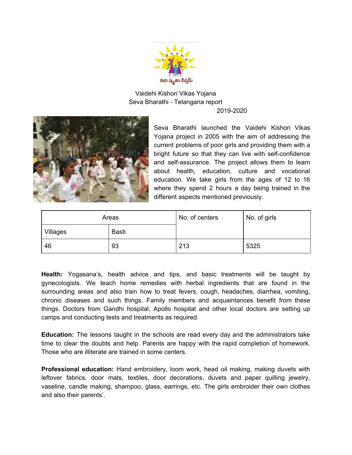

Vaidehi Kishori Vikas Yojana Seva Bharathi - Telangana report 2019-2020



Seva Bharathi launched the Vaidehi Kishori Vikas Yojana project in 2005 with the aim of addressing the current problems of poor girls and providing them with a bright future so that they can live with self-confidence and self-assurance. The project allows them to learn about health, education, culture and vocational education. We take girls from the ages of 12 to 16 where they spend 2 hours a day being trained in the different aspects mentioned previously.

| Areas    |       | No. of centers | No. of girls |
|----------|-------|----------------|--------------|
| Villages | Basti |                |              |
| 46       | 93    | 213            | 5325         |

**Health:** Yogasana's, health advice and tips, and basic treatments will be taught by gynecologists. We teach home remedies with herbal ingredients that are found in the surrounding areas and also train how to treat fevers, cough, headaches, diarrhea, vomiting, chronic diseases and such things. Family members and acquaintances benefit from these things. Doctors from Gandhi hospital, Apollo hospital and other local doctors are setting up camps and conducting tests and treatments as required.

**Education:** The lessons taught in the schools are read every day and the administrators take time to clear the doubts and help. Parents are happy with the rapid completion of homework. Those who are illiterate are trained in some centers.

**Professional education:** Hand embroidery, loom work, head oil making, making duvets with leftover fabrics, door mats, textiles, door decorations, duvets and paper quilling jewelry, vaseline, candle making, shampoo, glass, earrings, etc. The girls embroider their own clothes and also their parents'.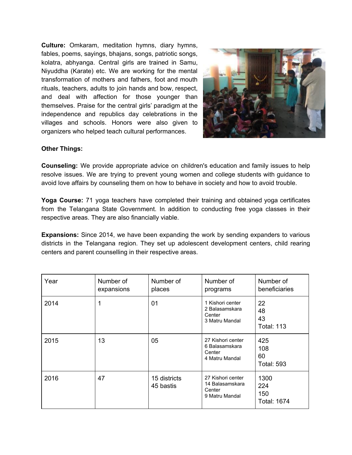**Culture:** Omkaram, meditation hymns, diary hymns, fables, poems, sayings, bhajans, songs, patriotic songs, kolatra, abhyanga. Central girls are trained in Samu, Niyuddha (Karate) etc. We are working for the mental transformation of mothers and fathers, foot and mouth rituals, teachers, adults to join hands and bow, respect, and deal with affection for those younger than themselves. Praise for the central girls' paradigm at the independence and republics day celebrations in the villages and schools. Honors were also given to organizers who helped teach cultural performances.



## **Other Things:**

**Counseling:** We provide appropriate advice on children's education and family issues to help resolve issues. We are trying to prevent young women and college students with guidance to avoid love affairs by counseling them on how to behave in society and how to avoid trouble.

**Yoga Course:** 71 yoga teachers have completed their training and obtained yoga certificates from the Telangana State Government. In addition to conducting free yoga classes in their respective areas. They are also financially viable.

**Expansions:** Since 2014, we have been expanding the work by sending expanders to various districts in the Telangana region. They set up adolescent development centers, child rearing centers and parent counselling in their respective areas.

| Year | Number of<br>expansions | Number of<br>places       | Number of<br>programs                                            | Number of<br>beneficiaries               |
|------|-------------------------|---------------------------|------------------------------------------------------------------|------------------------------------------|
| 2014 | 1                       | 01                        | 1 Kishori center<br>2 Balasamskara<br>Center<br>3 Matru Mandal   | 22<br>48<br>43<br><b>Total: 113</b>      |
| 2015 | 13                      | 05                        | 27 Kishori center<br>6 Balasamskara<br>Center<br>4 Matru Mandal  | 425<br>108<br>60<br><b>Total: 593</b>    |
| 2016 | 47                      | 15 districts<br>45 bastis | 27 Kishori center<br>14 Balasamskara<br>Center<br>9 Matru Mandal | 1300<br>224<br>150<br><b>Total: 1674</b> |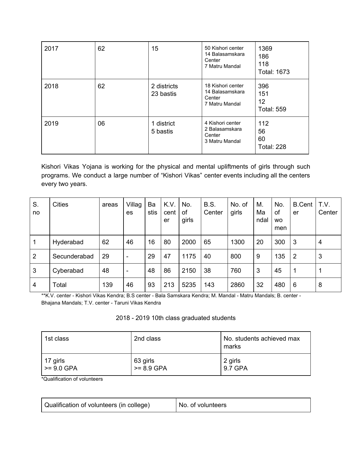| 2017 | 62 | 15                       | 50 Kishori center<br>14 Balasamskara<br>Center<br>7 Matru Mandal | 1369<br>186<br>118<br><b>Total: 1673</b> |
|------|----|--------------------------|------------------------------------------------------------------|------------------------------------------|
| 2018 | 62 | 2 districts<br>23 bastis | 18 Kishori center<br>14 Balasamskara<br>Center<br>7 Matru Mandal | 396<br>151<br>12<br><b>Total: 559</b>    |
| 2019 | 06 | 1 district<br>5 bastis   | 4 Kishori center<br>2 Balasamskara<br>Center<br>3 Matru Mandal   | 112<br>56<br>60<br><b>Total: 228</b>     |

Kishori Vikas Yojana is working for the physical and mental upliftments of girls through such programs. We conduct a large number of "Kishori Vikas" center events including all the centers every two years.

| S.<br>no | <b>Cities</b> | areas | Villag<br>es                 | Ba<br>stis | K.V.<br>cent<br>er | No.<br>οf<br>girls | <b>B.S.</b><br>Center | No. of<br>girls | М.<br>Ma<br>ndal | No.<br>of<br><b>WO</b><br>men | <b>B.Cent</b><br>er | T.V.<br>Center |
|----------|---------------|-------|------------------------------|------------|--------------------|--------------------|-----------------------|-----------------|------------------|-------------------------------|---------------------|----------------|
| 1        | Hyderabad     | 62    | 46                           | 16         | 80                 | 2000               | 65                    | 1300            | 20               | 300                           | 3                   | $\overline{4}$ |
| 2        | Secunderabad  | 29    | $\qquad \qquad \blacksquare$ | 29         | 47                 | 1175               | 40                    | 800             | 9                | 135                           | $\overline{2}$      | 3              |
| 3        | Cyberabad     | 48    | $\qquad \qquad \blacksquare$ | 48         | 86                 | 2150               | 38                    | 760             | 3                | 45                            | 1                   | 1              |
| 4        | Total         | 139   | 46                           | 93         | 213                | 5235               | 143                   | 2860            | 32               | 480                           | 6                   | 8              |

\*\*K.V. center - Kishori Vikas Kendra; B.S center - Bala Samskara Kendra; M. Mandal - Matru Mandals; B. center - Bhajana Mandals; T.V. center - Taruni Vikas Kendra

| 2018 - 2019 10th class graduated students |  |
|-------------------------------------------|--|
|-------------------------------------------|--|

| 1st class       | 2nd class    | No. students achieved max<br>marks |
|-----------------|--------------|------------------------------------|
| 17 girls        | 63 girls     | 2 girls                            |
| $\ge$ = 9.0 GPA | $>= 8.9$ GPA | 9.7 GPA                            |

\*Qualification of volunteers

| Qualification of volunteers (in college) | No. of volunteers |
|------------------------------------------|-------------------|
|                                          |                   |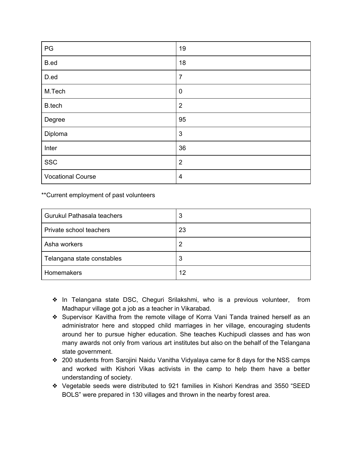| PG                       | 19             |
|--------------------------|----------------|
| B.ed                     | 18             |
| D.ed                     | $\overline{7}$ |
| M.Tech                   | $\mathbf 0$    |
| B.tech                   | $\overline{2}$ |
| Degree                   | 95             |
| Diploma                  | $\mathbf{3}$   |
| Inter                    | 36             |
| <b>SSC</b>               | $\overline{2}$ |
| <b>Vocational Course</b> | $\overline{4}$ |

\*\*Current employment of past volunteers

| Gurukul Pathasala teachers | 3  |
|----------------------------|----|
| Private school teachers    | 23 |
| Asha workers               | 2  |
| Telangana state constables | 3  |
| Homemakers                 | 12 |

- ❖ In Telangana state DSC, Cheguri Srilakshmi, who is a previous volunteer, from Madhapur village got a job as a teacher in Vikarabad.
- ❖ Supervisor Kavitha from the remote village of Korra Vani Tanda trained herself as an administrator here and stopped child marriages in her village, encouraging students around her to pursue higher education. She teaches Kuchipudi classes and has won many awards not only from various art institutes but also on the behalf of the Telangana state government.
- ❖ 200 students from Sarojini Naidu Vanitha Vidyalaya came for 8 days for the NSS camps and worked with Kishori Vikas activists in the camp to help them have a better understanding of society.
- ❖ Vegetable seeds were distributed to 921 families in Kishori Kendras and 3550 "SEED BOLS" were prepared in 130 villages and thrown in the nearby forest area.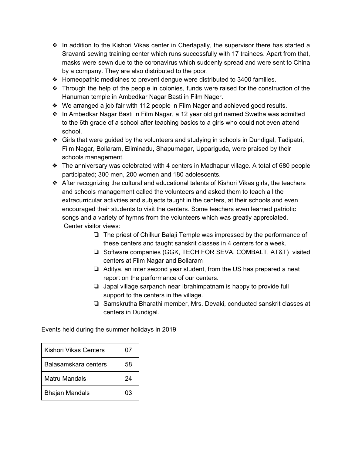- ❖ In addition to the Kishori Vikas center in Cherlapally, the supervisor there has started a Sravanti sewing training center which runs successfully with 17 trainees. Apart from that, masks were sewn due to the coronavirus which suddenly spread and were sent to China by a company. They are also distributed to the poor.
- ❖ Homeopathic medicines to prevent dengue were distributed to 3400 families.
- ❖ Through the help of the people in colonies, funds were raised for the construction of the Hanuman temple in Ambedkar Nagar Basti in Film Nager.
- ❖ We arranged a job fair with 112 people in Film Nager and achieved good results.
- ❖ In Ambedkar Nagar Basti in Film Nagar, a 12 year old girl named Swetha was admitted to the 6th grade of a school after teaching basics to a girls who could not even attend school.
- ❖ Girls that were guided by the volunteers and studying in schools in Dundigal, Tadipatri, Film Nagar, Bollaram, Eliminadu, Shapurnagar, Uppariguda, were praised by their schools management.
- ❖ The anniversary was celebrated with 4 centers in Madhapur village. A total of 680 people participated; 300 men, 200 women and 180 adolescents.
- ❖ After recognizing the cultural and educational talents of Kishori Vikas girls, the teachers and schools management called the volunteers and asked them to teach all the extracurricular activities and subjects taught in the centers, at their schools and even encouraged their students to visit the centers. Some teachers even learned patriotic songs and a variety of hymns from the volunteers which was greatly appreciated. Center visitor views:
	- ❏ The priest of Chilkur Balaji Temple was impressed by the performance of these centers and taught sanskrit classes in 4 centers for a week.
	- ❏ Software companies (GGK, TECH FOR SEVA, COMBALT, AT&T) visited centers at Film Nagar and Bollaram
	- ❏ Aditya, an inter second year student, from the US has prepared a neat report on the performance of our centers.
	- ❏ Japal village sarpanch near Ibrahimpatnam is happy to provide full support to the centers in the village.
	- ❏ Samskrutha Bharathi member, Mrs. Devaki, conducted sanskrit classes at centers in Dundigal.

Events held during the summer holidays in 2019

| <b>Kishori Vikas Centers</b> | 07 |
|------------------------------|----|
| Balasamskara centers         | 58 |
| Matru Mandals                | 24 |
| <b>Bhajan Mandals</b>        | በ3 |